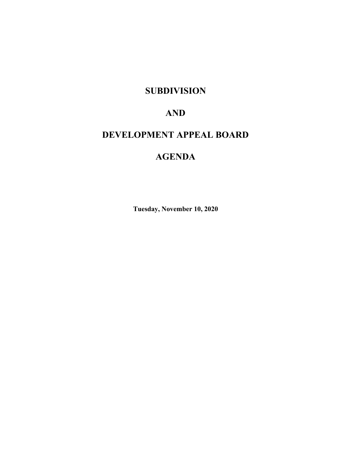## **SUBDIVISION**

## **AND**

# **DEVELOPMENT APPEAL BOARD**

# **AGENDA**

**Tuesday, November 10, 2020**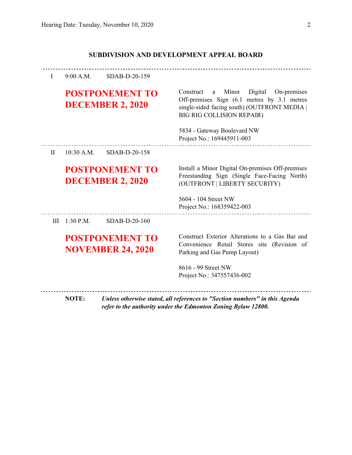### **SUBDIVISION AND DEVELOPMENT APPEAL BOARD**

| $\mathbf{I}$ | $9:00$ A.M.                                        | SDAB-D-20-159 |                                                                                                                                                                                |
|--------------|----------------------------------------------------|---------------|--------------------------------------------------------------------------------------------------------------------------------------------------------------------------------|
|              | <b>POSTPONEMENT TO</b><br><b>DECEMBER 2, 2020</b>  |               | a Minor Digital<br>On-premises<br>Construct<br>Off-premises Sign (6.1 metres by 3.1 metres<br>single-sided facing south) (OUTFRONT MEDIA  <br><b>BIG RIG COLLISION REPAIR)</b> |
|              |                                                    |               | 5834 - Gateway Boulevard NW<br>Project No.: 169445911-003                                                                                                                      |
| $\rm II$     | $10:30$ A.M.                                       | SDAB-D-20-158 |                                                                                                                                                                                |
|              | <b>POSTPONEMENT TO</b><br><b>DECEMBER 2, 2020</b>  |               | Install a Minor Digital On-premises Off-premises<br>Freestanding Sign (Single Face-Facing North)<br>(OUTFRONT   LIBERTY SECURITY)                                              |
|              |                                                    |               | 5604 - 104 Street NW<br>Project No.: 168359422-003                                                                                                                             |
| III          | $1:30$ P.M.                                        | SDAB-D-20-160 |                                                                                                                                                                                |
|              | <b>POSTPONEMENT TO</b><br><b>NOVEMBER 24, 2020</b> |               | Construct Exterior Alterations to a Gas Bar and<br>Convenience Retail Stores site (Revision of<br>Parking and Gas Pump Layout)                                                 |
|              |                                                    |               | 8616 - 99 Street NW<br>Project No.: 347557436-002                                                                                                                              |
|              | <b>NOTE:</b>                                       |               | Unless otherwise stated, all references to "Section numbers" in this Agenda<br>refer to the authority under the Edmonton Zoning Bylaw 12800.                                   |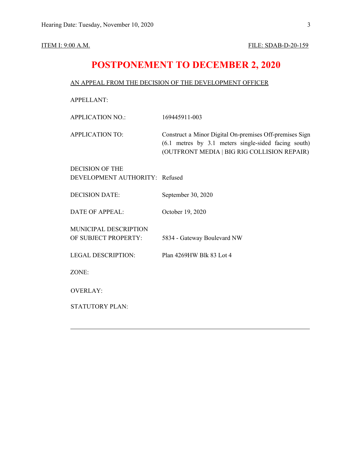## **POSTPONEMENT TO DECEMBER 2, 2020**

#### AN APPEAL FROM THE DECISION OF THE DEVELOPMENT OFFICER

APPELLANT:

APPLICATION NO.: 169445911-003

APPLICATION TO: Construct a Minor Digital On-premises Off-premises Sign (6.1 metres by 3.1 meters single-sided facing south) (OUTFRONT MEDIA | BIG RIG COLLISION REPAIR)

DECISION OF THE DEVELOPMENT AUTHORITY: Refused

DECISION DATE: September 30, 2020

DATE OF APPEAL: October 19, 2020

MUNICIPAL DESCRIPTION

OF SUBJECT PROPERTY: 5834 - Gateway Boulevard NW

LEGAL DESCRIPTION: Plan 4269HW Blk 83 Lot 4

ZONE:

OVERLAY:

STATUTORY PLAN: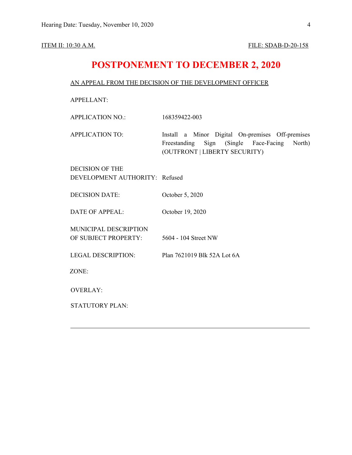## **POSTPONEMENT TO DECEMBER 2, 2020**

### AN APPEAL FROM THE DECISION OF THE DEVELOPMENT OFFICER

APPELLANT:

APPLICATION NO.: 168359422-003

APPLICATION TO: Install a Minor Digital On-premises Off-premises Freestanding Sign (Single Face-Facing North) (OUTFRONT | LIBERTY SECURITY)

DECISION OF THE DEVELOPMENT AUTHORITY: Refused

DECISION DATE: October 5, 2020

DATE OF APPEAL: October 19, 2020

MUNICIPAL DESCRIPTION OF SUBJECT PROPERTY: 5604 - 104 Street NW

LEGAL DESCRIPTION: Plan 7621019 Blk 52A Lot 6A

ZONE:

OVERLAY:

STATUTORY PLAN: